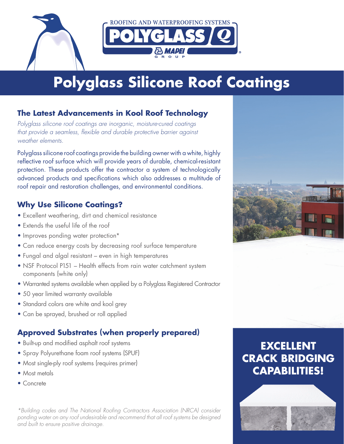

# **Polyglass Silicone Roof Coatings**

## **The Latest Advancements in Kool Roof Technology**

*Polyglass silicone roof coatings are inorganic, moisture-cured coatings that provide a seamless,* f*exible and durable protective barrier against weather elements.*

Polyglass silicone roof coatings provide the building owner with a white, highly reflective roof surface which will provide years of durable, chemical-resistant protection. These products offer the contractor a system of technologically advanced products and specifications which also addresses a multitude of roof repair and restoration challenges, and environmental conditions.

## **Why Use Silicone Coatings?**

- Excellent weathering, dirt and chemical resistance
- Extends the useful life of the roof
- Improves ponding water protection\*
- Can reduce energy costs by decreasing roof surface temperature
- Fungal and algal resistant even in high temperatures
- NSF Protocol P151 Health effects from rain water catchment system components (white only)
- Warranted systems available when applied by a Polyglass Registered Contractor
- 50 year limited warranty available
- Standard colors are white and kool grey
- Can be sprayed, brushed or roll applied

# **Approved Substrates (when properly prepared)**

- Built-up and modifed asphalt roof systems
- Spray Polyurethane foam roof systems (SPUF)
- Most single-ply roof systems (requires primer)
- Most metals
- Concrete

*\*Building codes and The National Roo*f*ng Contractors Association (NRCA) consider ponding water on any roof undesirable and recommend that all roof systems be designed and built to ensure positive drainage.*



# **EXCELLENT CRACK BRIDGING CAPABILITIES!**